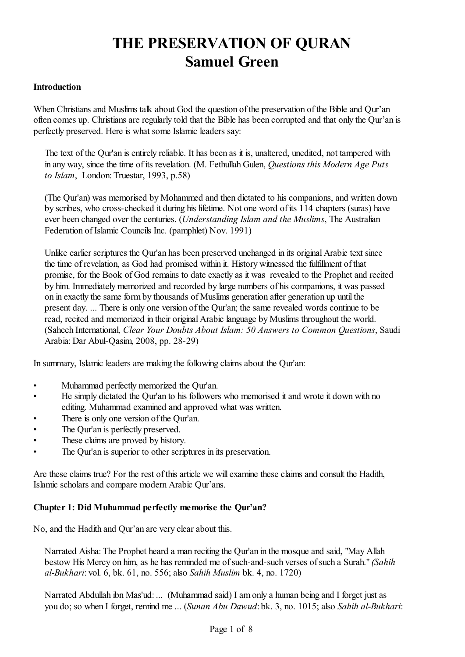# **THE PRESERVATION OF QURAN Samuel Green**

## **Introduction**

When Christians and Muslims talk about God the question of the preservation of the Bible and Qur'an often comes up. Christians are regularly told that the Bible has been corrupted and that only the Qur'an is perfectly preserved. Here is what some Islamic leaders say:

The text of the Qur'an is entirely reliable. It has been as it is, unaltered, unedited, not tampered with in any way, since the time of its revelation. (M. Fethullah Gulen, *Questions this Modern Age Puts to Islam*, London: Truestar, 1993, p.58)

(The Qur'an) was memorised by Mohammed and then dictated to his companions, and written down by scribes, who cross-checked it during his lifetime. Not one word of its 114 chapters (suras) have ever been changed over the centuries. (*Understanding Islam and the Muslims*, The Australian Federation of Islamic Councils Inc. (pamphlet) Nov. 1991)

Unlike earlier scriptures the Qur'an has been preserved unchanged in its original Arabic text since the time of revelation, as God had promised within it. History witnessed the fulfillment of that promise, for the Book of God remains to date exactly as it was revealed to the Prophet and recited by him. Immediately memorized and recorded by large numbers of his companions, it was passed on in exactly the same formby thousands of Muslims generation after generation up until the present day. ... There is only one version of the Qur'an; the same revealed words continue to be read, recited and memorized in their original Arabic language by Muslims throughout the world. (Saheeh International, *Clear Your Doubts About Islam: 50 Answers to Common Questions*, Saudi Arabia: Dar Abul-Qasim, 2008, pp. 28-29)

In summary, Islamic leaders are making the following claims about the Qur'an:

- Muhammad perfectly memorized the Qur'an.
- He simply dictated the Qur'an to his followers who memorised it and wrote it down with no editing. Muhammad examined and approved what was written.
- There is only one version of the Qur'an.
- The Qur'an is perfectly preserved.
- These claims are proved by history.
- The Our'an is superior to other scriptures in its preservation.

Are these claims true? For the rest of this article we will examine these claims and consult the Hadith, Islamic scholars and compare modern Arabic Qur'ans.

## **Chapter 1: Did Muhammad perfectly memorise the Qur'an?**

No, and the Hadith and Qur'an are very clear about this.

Narrated Aisha: The Prophet heard a man reciting the Qur'an in the mosque and said, "May Allah bestow His Mercy on him, as he has reminded me of such-and-such verses of such a Surah." *(Sahih al-Bukhari*: vol. 6, bk. 61, no. 556; also *Sahih Muslim* bk. 4, no. 1720)

Narrated Abdullah ibn Mas'ud: ... (Muhammad said) I am only a human being and I forget just as you do; so when I forget, remind me ... (*Sunan Abu Dawud*: bk. 3, no. 1015; also *Sahih al-Bukhari*: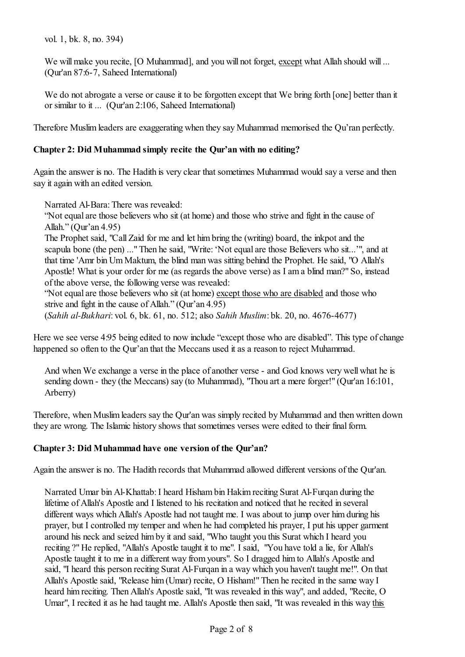vol. 1, bk. 8, no. 394)

We will make you recite, [O Muhammad], and you will not forget, except what Allah should will ... (Qur'an 87:6-7, Saheed International)

We do not abrogate a verse or cause it to be forgotten except that We bring forth [one] better than it or similar to it ... (Qur'an 2:106, Saheed International)

Therefore Muslim leaders are exaggerating when they say Muhammad memorised the Qu'ran perfectly.

## **Chapter 2: Did Muhammad simply recite the Qur'an with no editing?**

Again the answer is no. The Hadith is very clear that sometimes Muhammad would say a verse and then say it again with an edited version.

Narrated Al-Bara: There was revealed:

"Not equal are those believers who sit (at home) and those who strive and fight in the cause of Allah." (Qur'an 4.95)

The Prophet said, "Call Zaid for me and let him bring the (writing) board, the inkpot and the scapula bone (the pen) ..." Then he said, "Write: 'Not equal are those Believers who sit...'", and at that time 'Amr bin Um Maktum, the blind man was sitting behind the Prophet. He said, "O Allah's Apostle! What is your order for me (as regards the above verse) as I am a blind man?" So, instead of the above verse, the following verse was revealed:

"Not equal are those believers who sit (at home) except those who are disabled and those who strive and fight in the cause of Allah." (Qur'an 4.95)

(*Sahih al-Bukhari*: vol. 6, bk. 61, no. 512; also *Sahih Muslim*: bk. 20, no. 4676-4677)

Here we see verse 4:95 being edited to now include "except those who are disabled". This type of change happened so often to the Qur'an that the Meccans used it as a reason to reject Muhammad.

And when We exchange a verse in the place of another verse - and God knows very well what he is sending down - they (the Meccans) say (to Muhammad), "Thou art a mere forger!" (Qur'an 16:101, Arberry)

Therefore, when Muslim leaders say the Qur'an was simply recited by Muhammad and then written down they are wrong. The Islamic history shows that sometimes verses were edited to their final form.

## **Chapter 3: Did Muhammad have one version of the Qur'an?**

Again the answer is no. The Hadith records that Muhammad allowed different versions of the Qur'an.

Narrated Umar bin Al-Khattab:I heard Hisham bin Hakim reciting Surat Al-Furqan during the lifetime of Allah's Apostle and I listened to his recitation and noticed that he recited in several different ways which Allah's Apostle had not taught me. I was about to jump over him during his prayer, but I controlled my temper and when he had completed his prayer, I put his upper garment around his neck and seized him by it and said, "Who taught you this Surat which I heard you reciting ?" He replied, "Allah's Apostle taught it to me". I said, "You have told a lie, for Allah's Apostle taught it to me in a different way from yours". So I dragged him to Allah's Apostle and said, "I heard this person reciting Surat Al-Furqan in a way which you haven't taught me!". On that Allah's Apostle said, "Release him (Umar) recite, O Hisham!" Then he recited in the same way I heard him reciting. Then Allah's Apostle said, "It was revealed in this way", and added, "Recite, O Umar", I recited it as he had taught me. Allah's Apostle then said, "It was revealed in this way this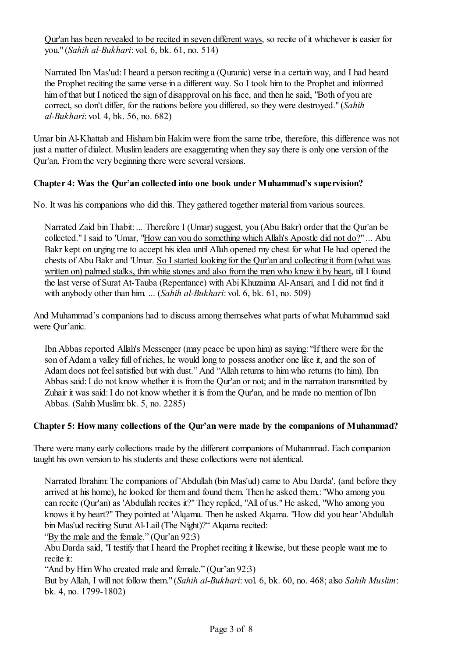Qur'an has been revealed to be recited in seven different ways, so recite ofit whichever is easier for you." (*Sahih al-Bukhari*: vol. 6, bk. 61, no. 514)

Narrated Ibn Mas'ud: I heard a person reciting a (Quranic) verse in a certain way, and I had heard the Prophet reciting the same verse in a different way. So I took him to the Prophet and informed him of that but I noticed the sign of disapproval on his face, and then he said, "Both of you are correct, so don't differ, for the nations before you differed, so they were destroyed." (*Sahih al-Bukhari*: vol. 4, bk. 56, no. 682)

Umar bin Al-Khattab and Hisham bin Hakim were from the same tribe, therefore, this difference was not just a matter of dialect. Muslim leaders are exaggerating when they say there is only one version of the Qur'an. Fromthe very beginning there were several versions.

# **Chapter 4: Was the Qur'an collected into one book under Muhammad's supervision?**

No. It was his companions who did this. They gathered together material from various sources.

Narrated Zaid bin Thabit: ... Therefore I (Umar) suggest, you (Abu Bakr) order that the Qur'an be collected." I said to 'Umar, "How can you do something which Allah's Apostle did not do?" ... Abu Bakr kept on urging me to accept his idea until Allah opened my chest for what He had opened the chests of Abu Bakr and 'Umar. So I started looking for the Qur'an and collecting it from (what was written on) palmed stalks, thin white stones and also fromthe men who knew it by heart, till I found the last verse of Surat At-Tauba (Repentance) with Abi Khuzaima Al-Ansari, and I did not find it with anybody other than him. ... (*Sahih al-Bukhari*: vol. 6, bk. 61, no. 509)

And Muhammad's companions had to discuss among themselves what parts of what Muhammad said were Qur'anic.

Ibn Abbas reported Allah's Messenger (may peace be upon him) as saying: "If there were for the son of Adam a valley full of riches, he would long to possess another one like it, and the son of Adam does not feel satisfied but with dust." And "Allah returns to him who returns (to him). Ibn Abbas said: I do not know whether it is from the Qur'an or not; and in the narration transmitted by Zuhair it was said: I do not know whether it is from the Qur'an, and he made no mention of Ibn Abbas. (Sahih Muslim: bk. 5, no. 2285)

## **Chapter 5: How many collections of the Qur'an were made by the companions of Muhammad?**

There were many early collections made by the different companions of Muhammad. Each companion taught his own version to his students and these collections were not identical.

Narrated Ibrahim: The companions of 'Abdullah (bin Mas'ud) came to Abu Darda', (and before they arrived at his home), he looked for them and found them. Then he asked them,: "Who among you can recite (Qur'an) as 'Abdullah recites it?" They replied, "All of us." He asked, "Who among you knows it by heart?" They pointed at 'Alqama. Then he asked Alqama. "How did you hear 'Abdullah bin Mas'ud reciting Surat Al-Lail (The Night)?" Alqama recited:

"By the male and the female." (Qur'an 92:3)

Abu Darda said, "I testify that I heard the Prophet reciting it likewise, but these people want me to recite it:

"And by Him Who created male and female." (Qur'an 92:3)

But by Allah, I will not follow them." (*Sahih al-Bukhari*: vol. 6, bk. 60, no. 468; also *Sahih Muslim*: bk. 4, no. 1799-1802)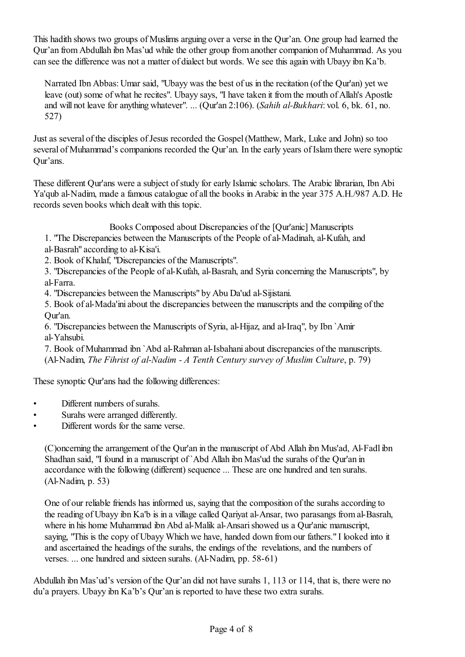This hadith shows two groups of Muslims arguing over a verse in the Qur'an. One group had learned the Qur'an fromAbdullah ibn Mas'ud while the other group from another companion of Muhammad. As you can see the difference was not a matter of dialect but words. We see this again with Ubayy ibn Ka'b.

Narrated Ibn Abbas: Umar said, "Ubayy was the best of us in the recitation (of the Qur'an) yet we leave (out) some of what he recites". Ubayy says, "I have taken it from the mouth of Allah's Apostle and will not leave for anything whatever". ... (Qur'an 2:106). (*Sahih al-Bukhari*: vol. 6, bk. 61, no. 527)

Just as several of the disciples of Jesus recorded the Gospel (Matthew, Mark, Luke and John) so too several of Muhammad's companions recorded the Qur'an. In the early years of Islam there were synoptic Qur'ans.

These different Qur'ans were a subject of study for early Islamic scholars. The Arabic librarian, Ibn Abi Ya'qub al-Nadim, made a famous catalogue of all the books in Arabic in the year 375 A.H./987 A.D. He records seven books which dealt with this topic.

Books Composed about Discrepancies of the [Qur'anic] Manuscripts

- 1. "The Discrepancies between the Manuscripts of the People of al-Madinah, al-Kufah, and
- al-Basrah" according to al-Kisa'i.
- 2. Book of Khalaf, "Discrepancies of the Manuscripts".
- 3. "Discrepancies of the People of al-Kufah, al-Basrah, and Syria concerning the Manuscripts", by al-Farra.
- 4. "Discrepancies between the Manuscripts" by Abu Da'ud al-Sijistani.
- 5. Book of al-Mada'ini about the discrepancies between the manuscripts and the compiling ofthe Qur'an.
- 6. "Discrepancies between the Manuscripts of Syria, al-Hijaz, and al-Iraq", by Ibn `Amir al-Yahsubi.

7. Book of Muhammad ibn `Abd al-Rahman al-Isbahani about discrepancies of the manuscripts. (Al-Nadim, *The Fihrist of al-Nadim - A Tenth Century survey of Muslim Culture*, p. 79)

These synoptic Qur'ans had the following differences:

- Different numbers of surahs.
- Surahs were arranged differently.
- Different words for the same verse.

(C)oncerning the arrangement of the Qur'an in the manuscript of Abd Allah ibn Mus'ad, Al-Fadl ibn Shadhan said, "I found in a manuscript of`Abd Allah ibn Mas'ud the surahs of the Qur'an in accordance with the following (different) sequence ... These are one hundred and ten surahs. (Al-Nadim, p. 53)

One of our reliable friends has informed us, saying that the composition of the surahs according to the reading of Ubayy ibn Ka'b is in a village called Qariyat al-Ansar, two parasangs from al-Basrah, where in his home Muhammad ibn Abd al-Malik al-Ansari showed us a Our'anic manuscript, saying, "This is the copy of Ubayy Which we have, handed down from our fathers." I looked into it and ascertained the headings of the surahs, the endings of the revelations, and the numbers of verses. ... one hundred and sixteen surahs. (Al-Nadim, pp. 58-61)

Abdullah ibn Mas'ud's version of the Qur'an did not have surahs 1, 113 or 114, that is, there were no du'a prayers. Ubayy ibn Ka'b's Qur'an is reported to have these two extra surahs.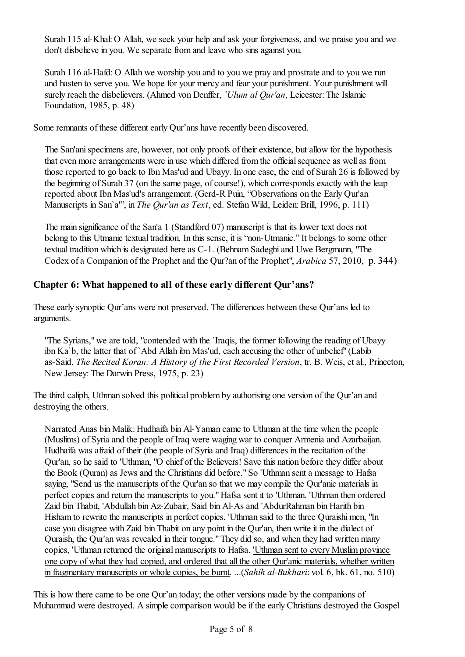Surah 115 al-Khal: O Allah, we seek your help and ask your forgiveness, and we praise you and we don't disbelieve in you. We separate from and leave who sins against you.

Surah 116 al-Hafd: O Allah we worship you and to you we pray and prostrate and to you we run and hasten to serve you. We hope for your mercy and fear your punishment. Your punishment will surely reach the disbelievers. (Ahmed von Denffer, *`Ulum al Qur'an*, Leicester: The Islamic Foundation, 1985, p. 48)

Some remnants of these different early Qur'ans have recently been discovered.

The San'ani specimens are, however, not only proofs of their existence, but allow for the hypothesis that even more arrangements were in use which differed from the official sequence as well as from those reported to go back to Ibn Mas'ud and Ubayy. In one case, the end of Surah 26 is followed by the beginning of Surah 37 (on the same page, of course!), which corresponds exactly with the leap reported about Ibn Mas'ud's arrangement. (Gerd-R Puin, "Observations on the Early Qur'an Manuscripts in San`a'", in *The Qur'an as Text*, ed. Stefan Wild, Leiden: Brill, 1996, p. 111)

The main significance of the San'a 1 (Standford 07) manuscript is that its lower text does not belong to this Utmanic textual tradition. In this sense, it is "non-Utmanic." It belongs to some other textual tradition which is designated here as C-1. (Behnam Sadeghi and Uwe Bergmann, "The Codex of a Companion of the Prophet and the Qur?an of the Prophet", *Arabica* 57, 2010, p. 344)

# **Chapter 6: What happened to all of these early different Qur'ans?**

These early synoptic Qur'ans were not preserved. The differences between these Qur'ans led to arguments.

"The Syrians," we are told, "contended with the `Iraqis, the former following the reading of Ubayy ibn Ka`b, the latter that of `Abd Allah ibn Mas'ud, each accusing the other of unbelief" (Labib as-Said, *The Recited Koran: A History of the First Recorded Version*, tr. B. Weis, et al., Princeton, New Jersey: The Darwin Press, 1975, p. 23)

The third caliph, Uthman solved this political problemby authorising one version of the Qur'an and destroying the others.

Narrated Anas bin Malik: Hudhaifa bin Al-Yaman came to Uthman at the time when the people (Muslims) of Syria and the people of Iraq were waging war to conquer Armenia and Azarbaijan. Hudhaifa was afraid of their (the people of Syria and Iraq) differences in the recitation of the Qur'an, so he said to 'Uthman, "O chief of the Believers! Save this nation before they differ about the Book (Quran) as Jews and the Christians did before." So 'Uthman sent a message to Hafsa saying, "Send us the manuscripts of the Our'an so that we may compile the Our'anic materials in perfect copies and return the manuscripts to you." Hafsa sent it to 'Uthman. 'Uthman then ordered Zaid bin Thabit, 'Abdullah bin Az-Zubair, Said bin Al-As and 'AbdurRahman bin Harith bin Hisham to rewrite the manuscripts in perfect copies. 'Uthman said to the three Quraishi men, "In case you disagree with Zaid bin Thabit on any point in the Qur'an, then write it in the dialect of Quraish, the Qur'an was revealed in their tongue." They did so, and when they had written many copies, 'Uthman returned the original manuscripts to Hafsa. 'Uthman sent to every Muslim province one copy of what they had copied, and ordered that all the other Qur'anic materials, whether written in fragmentary manuscripts or whole copies, be burnt. ...(*Sahih al-Bukhari*: vol. 6, bk. 61, no. 510)

This is how there came to be one Qur'an today; the other versions made by the companions of Muhammad were destroyed. A simple comparison would be if the early Christians destroyed the Gospel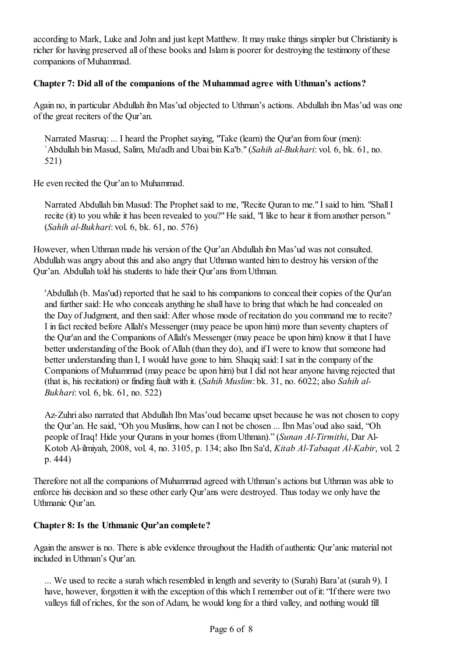according to Mark, Luke and John and just kept Matthew. It may make things simpler but Christianity is richer for having preserved all of these books and Islamis poorer for destroying the testimony of these companions of Muhammad.

## **Chapter 7: Did all of the companions of the Muhammad agree with Uthman's actions?**

Again no, in particular Abdullah ibn Mas'ud objected to Uthman's actions. Abdullah ibn Mas'ud was one of the great reciters of the Our'an.

Narrated Masruq: ... I heard the Prophet saying, "Take (learn) the Qur'an from four (men): `Abdullah bin Masud, Salim, Mu'adh and Ubai bin Ka'b." (*Sahih al-Bukhari*: vol. 6, bk. 61, no. 521)

He even recited the Qur'an to Muhammad.

Narrated Abdullah bin Masud: The Prophet said to me, "Recite Quran to me." I said to him. "Shall I recite (it) to you while it has been revealed to you?" He said, "I like to hear it from another person." (*Sahih al-Bukhari*: vol. 6, bk. 61, no. 576)

However, when Uthman made his version of the Qur'an Abdullah ibn Mas'ud was not consulted. Abdullah was angry about this and also angry that Uthman wanted him to destroy his version ofthe Qur'an. Abdullah told his students to hide their Qur'ans from Uthman.

'Abdullah (b. Mas'ud) reported that he said to his companions to conceal their copies of the Qur'an and further said: He who conceals anything he shall have to bring that which he had concealed on the Day of Judgment, and then said: After whose mode ofrecitation do you command me to recite? I in fact recited before Allah's Messenger (may peace be upon him) more than seventy chapters of the Qur'an and the Companions of Allah's Messenger (may peace be upon him) know it that I have better understanding of the Book of Allah (than they do), and if I were to know that someone had better understanding than I, I would have gone to him. Shaqiq said: I sat in the company of the Companions of Muhammad (may peace be upon him) but I did not hear anyone having rejected that (that is, his recitation) or finding fault with it. (*Sahih Muslim*: bk. 31, no. 6022; also *Sahih al-Bukhari*: vol. 6, bk. 61, no. 522)

Az-Zuhri also narrated that Abdullah Ibn Mas'oud became upset because he was not chosen to copy the Qur'an. He said, "Oh you Muslims, how can I not be chosen ... Ibn Mas'oud also said, "Oh people of Iraq! Hide your Qurans in your homes (fromUthman)." (*Sunan Al-Tirmithi*, Dar Al-Kotob Al-ilmiyah, 2008, vol. 4, no. 3105, p. 134; also Ibn Sa'd, *Kitab Al-Tabaqat Al-Kabir*, vol. 2 p. 444)

Therefore not all the companions of Muhammad agreed with Uthman's actions but Uthman was able to enforce his decision and so these other early Qur'ans were destroyed. Thus today we only have the Uthmanic Qur'an.

# **Chapter 8: Is the Uthmanic Qur'an complete?**

Again the answer is no. There is able evidence throughout the Hadith of authentic Qur'anic material not included in Uthman's Qur'an.

... We used to recite a surah which resembled in length and severity to (Surah) Bara'at (surah 9). I have, however, forgotten it with the exception of this which I remember out of it: "If there were two valleys full of riches, for the son of Adam, he would long for a third valley, and nothing would fill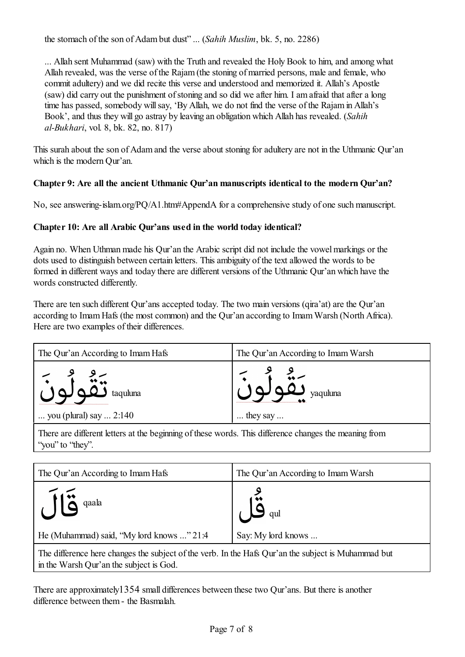the stomach of the son of Adam but dust" ... (*Sahih Muslim*, bk. 5, no. 2286)

... Allah sent Muhammad (saw) with the Truth and revealed the Holy Book to him, and among what Allah revealed, was the verse of the Rajam (the stoning of married persons, male and female, who commit adultery) and we did recite this verse and understood and memorized it. Allah's Apostle (saw) did carry out the punishment of stoning and so did we after him. I am afraid that after a long time has passed, somebody will say, 'By Allah, we do not find the verse of the Rajam in Allah's Book', and thus they will go astray by leaving an obligation which Allah has revealed. (*Sahih al-Bukhari*, vol. 8, bk. 82, no. 817)

This surah about the son of Adam and the verse about stoning for adultery are not in the Uthmanic Qur'an which is the modern Qur'an.

# **Chapter 9: Are all the ancient Uthmanic Qur'an manuscripts identical to the modern Qur'an?**

No, see answering-islam.org/PQ/A1.htm#AppendA for a comprehensive study of one such manuscript.

# **Chapter 10: Are all Arabic Qur'ans used in the world today identical?**

Again no. When Uthman made his Qur'an the Arabic script did not include the vowel markings or the dots used to distinguish between certain letters. This ambiguity of the text allowed the words to be formed in different ways and today there are different versions of the Uthmanic Qur'an which have the words constructed differently.

There are ten such different Qur'ans accepted today. The two main versions (qira'at) are the Qur'an according to Imam Hafs (the most common) and the Qur'an according to Imam Warsh (North Africa). Here are two examples of their differences.

| The Qur'an According to Imam Hafs | The Qur'an According to Imam Warsh |
|-----------------------------------|------------------------------------|
|                                   | $1 - \sum_{\text{vquLuna}}^9$      |
| you (plural) say $2:140$          | $\ldots$ they say $\ldots$         |

There are different letters at the beginning of these words. This difference changes the meaning from "you" to "they".

| The Qur'an According to Imam Hafs                                                                                                              | The Qur'an According to Imam Warsh |
|------------------------------------------------------------------------------------------------------------------------------------------------|------------------------------------|
| $\sqrt{16}$ qaala                                                                                                                              | $\sum_{q}$                         |
| He (Muhammad) said, "My lord knows " 21:4                                                                                                      | Say: My lord knows                 |
| The difference here changes the subject of the verb. In the Hafs Qur'an the subject is Muhammad but<br>in the Warsh Qur'an the subject is God. |                                    |

There are approximately1354 small differences between these two Qur'ans. But there is another difference between them- the Basmalah.